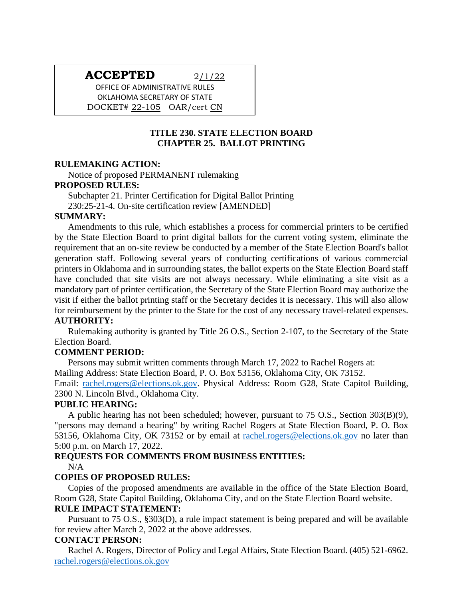# **ACCEPTED** 2/1/22

OFFICE OF ADMINISTRATIVE RULES OKLAHOMA SECRETARY OF STATE DOCKET# 22-105 OAR/cert CN

# **TITLE 230. STATE ELECTION BOARD CHAPTER 25. BALLOT PRINTING**

#### **RULEMAKING ACTION:**

Notice of proposed PERMANENT rulemaking

#### **PROPOSED RULES:**

Subchapter 21. Printer Certification for Digital Ballot Printing 230:25-21-4. On-site certification review [AMENDED]

#### **SUMMARY:**

Amendments to this rule, which establishes a process for commercial printers to be certified by the State Election Board to print digital ballots for the current voting system, eliminate the requirement that an on-site review be conducted by a member of the State Election Board's ballot generation staff. Following several years of conducting certifications of various commercial printers in Oklahoma and in surrounding states, the ballot experts on the State Election Board staff have concluded that site visits are not always necessary. While eliminating a site visit as a mandatory part of printer certification, the Secretary of the State Election Board may authorize the visit if either the ballot printing staff or the Secretary decides it is necessary. This will also allow for reimbursement by the printer to the State for the cost of any necessary travel-related expenses. **AUTHORITY:**

Rulemaking authority is granted by Title 26 O.S., Section 2-107, to the Secretary of the State Election Board.

## **COMMENT PERIOD:**

Persons may submit written comments through March 17, 2022 to Rachel Rogers at:

Mailing Address: State Election Board, P. O. Box 53156, Oklahoma City, OK 73152.

Email: [rachel.rogers@elections.ok.gov.](mailto:rachel.rogers@elections.ok.gov) Physical Address: Room G28, State Capitol Building, 2300 N. Lincoln Blvd., Oklahoma City.

## **PUBLIC HEARING:**

A public hearing has not been scheduled; however, pursuant to 75 O.S., Section 303(B)(9), "persons may demand a hearing" by writing Rachel Rogers at State Election Board, P. O. Box 53156, Oklahoma City, OK 73152 or by email at [rachel.rogers@elections.ok.gov](mailto:rachel.rogers@elections.ok.gov) no later than 5:00 p.m. on March 17, 2022.

## **REQUESTS FOR COMMENTS FROM BUSINESS ENTITIES:**

N/A

## **COPIES OF PROPOSED RULES:**

Copies of the proposed amendments are available in the office of the State Election Board, Room G28, State Capitol Building, Oklahoma City, and on the State Election Board website. **RULE IMPACT STATEMENT:**

Pursuant to 75 O.S., §303(D), a rule impact statement is being prepared and will be available for review after March 2, 2022 at the above addresses.

## **CONTACT PERSON:**

Rachel A. Rogers, Director of Policy and Legal Affairs, State Election Board. (405) 521-6962. [rachel.rogers@elections.ok.gov](mailto:rachel.rogers@elections.ok.gov)